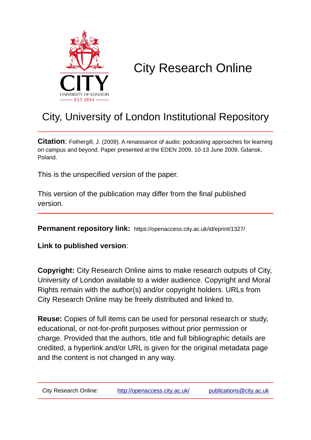

# City Research Online

## City, University of London Institutional Repository

**Citation:** Fothergill, J. (2009). A renaissance of audio: podcasting approaches for learning on campus and beyond. Paper presented at the EDEN 2009, 10-13 June 2009, Gdansk, Poland.

This is the unspecified version of the paper.

This version of the publication may differ from the final published version.

**Permanent repository link:** https://openaccess.city.ac.uk/id/eprint/1327/

**Link to published version**:

**Copyright:** City Research Online aims to make research outputs of City, University of London available to a wider audience. Copyright and Moral Rights remain with the author(s) and/or copyright holders. URLs from City Research Online may be freely distributed and linked to.

**Reuse:** Copies of full items can be used for personal research or study, educational, or not-for-profit purposes without prior permission or charge. Provided that the authors, title and full bibliographic details are credited, a hyperlink and/or URL is given for the original metadata page and the content is not changed in any way.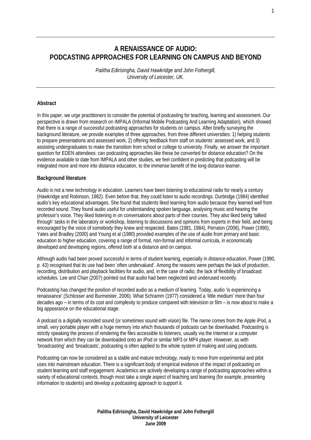### **A RENAISSANCE OF AUDIO: PODCASTING APPROACHES FOR LEARNING ON CAMPUS AND BEYOND**

*Palitha Edirisingha, David Hawkridge and John Fothergill, University of Leicester, UK.* 

#### **Abstract**

In this paper, we urge practitioners to consider the potential of podcasting for teaching, learning and assessment. Our perspective is drawn from research on IMPALA (Informal Mobile Podcasting And Learning Adaptation), which showed that there is a range of successful podcasting approaches for students on campus. After briefly surveying the background literature, we provide examples of three approaches, from three different universities: 1) helping students to prepare presentations and assessed work, 2) offering feedback from staff on students' assessed work, and 3) assisting undergraduates to make the transition from school or college to university. Finally, we answer the important question for EDEN attendees: can podcasting approaches like these be converted for distance education? On the evidence available to date from IMPALA and other studies, we feel confident in predicting that podcasting will be integrated more and more into distance education, to the immense benefit of the long distance learner.

#### **Background literature**

Audio is not a new technology in education. Learners have been listening to educational radio for nearly a century (Hawkridge and Robinson, 1982). Even before that, they could listen to audio recordings. Durbridge (1984) identified audio's key educational advantages. She found that students liked learning from audio because they learned well from recorded sound. They found audio useful for understanding spoken language, analysing music and hearing the professor's voice. They liked listening in on conversations about parts of their courses. They also liked being 'talked through' tasks in the laboratory or workshop, listening to discussions and opinions from experts in their field, and being encouraged by the voice of somebody they knew and respected. Bates (1981, 1984), Perraton (2006), Power (1990), Yates and Bradley (2000) and Young et al (1980) provided examples of the use of audio from primary and basic education to higher education, covering a range of formal, non-formal and informal curricula, in economically developed and developing regions, offered both at a distance and on campus.

Although audio had been proved successful in terms of student learning, especially in distance education, Power (1990, p. 43) recognised that its use had been 'often undervalued'. Among the reasons were perhaps the lack of production, recording, distribution and playback facilities for audio, and, in the case of radio, the lack of flexibility of broadcast schedules. Lee and Chan (2007) pointed out that audio had been neglected and underused recently.

Podcasting has changed the position of recorded audio as a medium of learning. Today, audio 'is experiencing a renaissance' (Schlosser and Burmeister, 2006). What Schramm (1977) considered a 'little medium' more than four decades ago – in terms of its cost and complexity to produce compared with television or film – is now about to make a big appearance on the educational stage.

A podcast is a digitally recorded sound (or sometimes sound with vision) file. The name comes from the Apple iPod, a small, very portable player with a huge memory into which thousands of podcasts can be downloaded. Podcasting is strictly speaking the process of rendering the files accessible to listeners, usually via the Internet or a computer network from which they can be downloaded onto an iPod or similar MP3 or MP4 player. However, as with 'broadcasting' and 'broadcasts', podcasting is often applied to the whole system of making and using podcasts.

Podcasting can now be considered as a stable and mature technology, ready to move from experimental and pilot uses into mainstream education. There is a significant body of empirical evidence of the impact of podcasting on student learning and staff engagement. Academics are actively developing a range of podcasting approaches within a variety of educational contexts, though most take a single aspect of teaching and learning (for example, presenting information to students) and develop a podcasting approach to support it.

> **Palitha Edirisingha, David Hawkridge and John Fothergill University of Leicester June 2009**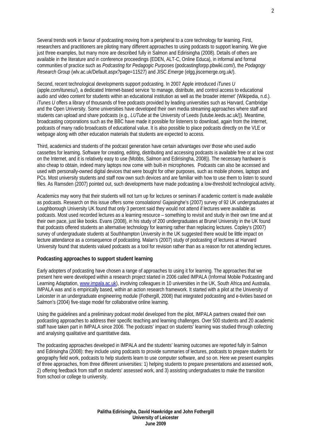Several trends work in favour of podcasting moving from a peripheral to a core technology for learning. First, researchers and practitioners are piloting many different approaches to using podcasts to support learning. We give just three examples, but many more are described fully in Salmon and Edirisingha (2008). Details of others are available in the literature and in conference proceedings (EDEN, ALT-C, Online Educa), in informal and formal communities of practice such as *Podcasting for Pedagogic Purposes* (podcastingforpp.pbwiki.com/), the *Podagogy Research Group* (wlv.ac.uk/Default.aspx?page=11527) and JISC *Emerge* (elgg.jiscemerge.org.uk/).

Second, recent technological developments support podcasting. In 2007 Apple introduced *iTunes U* (apple.com/itunesu/), a dedicated Internet-based service 'to manage, distribute, and control access to educational audio and video content for students within an educational institution as well as the broader internet' (Wikipedia, n.d.). *iTunes U* offers a library of thousands of free podcasts provided by leading universities such as Harvard, Cambridge and the Open University. Some universities have developed their own media streaming approaches where staff and students can upload and share podcasts (e.g., *LUTube* at the University of Leeds (lutube.leeds.ac.uk/)). Meantime, broadcasting corporations such as the BBC have made it possible for listeners to download, again from the Internet, podcasts of many radio broadcasts of educational value. It is also possible to place podcasts directly on the VLE or webpage along with other education materials that students are expected to access.

Third, academics and students of the podcast generation have certain advantages over those who used audio cassettes for learning. Software for creating, editing, distributing and accessing podcasts is available free or at low cost on the Internet, and it is relatively easy to use (Mobbs, Salmon and Edirisingha, 2008)). The necessary hardware is also cheap to obtain, indeed many laptops now come with built-in microphones. Podcasts can also be accessed and used with personally-owned digital devices that were bought for other purposes, such as mobile phones, laptops and PCs. Most university students and staff now own such devices and are familiar with how to use them to listen to sound files. As Ramsden (2007) pointed out, such developments have made podcasting a low-threshold technological activity.

Academics may worry that their students will not turn up for lectures or seminars if academic content is made available as podcasts. Research on this issue offers some consolations! Gajasinghe's (2007) survey of 92 UK undergraduates at Loughborough University UK found that only 3 percent said they would not attend if lectures were available as podcasts. Most used recorded lectures as a learning resource – something to revisit and study in their own time and at their own pace, just like books. Evans (2008), in his study of 200 undergraduates at Brunel University in the UK found that podcasts offered students an alternative technology for learning rather than replacing lectures. Copley's (2007) survey of undergraduate students at Southhampton University in the UK suggested there would be little impact on lecture attendance as a consequence of podcasting. Malan's (2007) study of podcasting of lectures at Harvard University found that students valued podcasts as a tool for revision rather than as a reason for not attending lectures.

#### **Podcasting approaches to support student learning**

Early adopters of podcasting have chosen a range of approaches to using it for learning. The approaches that we present here were developed within a research project started in 2006 called IMPALA (Informal Mobile Podcasting and Learning Adaptation, www.impala.ac.uk), involving colleagues in 10 universities in the UK, South Africa and Australia. IMPALA was and is empirically based, within an action research framework. It started with a pilot at the University of Leicester in an undergraduate engineering module (Fothergill, 2008) that integrated podcasting and e-tivities based on Salmon's (2004) five-stage model for collaborative online learning.

Using the guidelines and a preliminary podcast model developed from the pilot, IMPALA partners created their own podcasting approaches to address their specific teaching and learning challenges. Over 500 students and 20 academic staff have taken part in IMPALA since 2006. The podcasts' impact on students' learning was studied through collecting and analysing qualitative and quantitative data.

The podcasting approaches developed in IMPALA and the students' learning outcomes are reported fully in Salmon and Edirisingha (2008): they include using podcasts to provide summaries of lectures, podcasts to prepare students for geography field work, podcasts to help students learn to use computer software, and so on. Here we present examples of three approaches, from three different universities: 1) helping students to prepare presentations and assessed work, 2) offering feedback from staff on students' assessed work, and 3) assisting undergraduates to make the transition from school or college to university.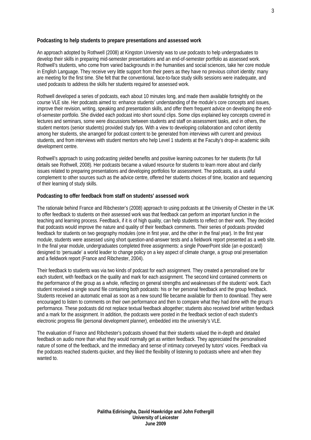#### **Podcasting to help students to prepare presentations and assessed work**

An approach adopted by Rothwell (2008) at Kingston University was to use podcasts to help undergraduates to develop their skills in preparing mid-semester presentations and an end-of-semester portfolio as assessed work. Rothwell's students, who come from varied backgrounds in the humanities and social sciences, take her core module in English Language. They receive very little support from their peers as they have no previous cohort identity: many are meeting for the first time. She felt that the conventional, face-to-face study skills sessions were inadequate, and used podcasts to address the skills her students required for assessed work.

Rothwell developed a series of podcasts, each about 10 minutes long, and made them available fortnightly on the course VLE site. Her podcasts aimed to: enhance students' understanding of the module's core concepts and issues, improve their revision, writing, speaking and presentation skills, and offer them frequent advice on developing the endof-semester portfolio. She divided each podcast into short sound clips. Some clips explained key concepts covered in lectures and seminars, some were discussions between students and staff on assessment tasks, and in others, the student mentors (senior students) provided study tips. With a view to developing collaboration and cohort identity among her students, she arranged for podcast content to be generated from interviews with current and previous students, and from interviews with student mentors who help Level 1 students at the Faculty's drop-in academic skills development centre.

Rothwell's approach to using podcasting yielded benefits and positive learning outcomes for her students (for full details see Rothwell, 2008). Her podcasts became a valued resource for students to learn more about and clarify issues related to preparing presentations and developing portfolios for assessment. The podcasts, as a useful complement to other sources such as the advice centre, offered her students choices of time, location and sequencing of their learning of study skills.

#### **Podcasting to offer feedback from staff on students' assessed work**

The rationale behind France and Ribchester's (2008) approach to using podcasts at the University of Chester in the UK to offer feedback to students on their assessed work was that feedback can perform an important function in the teaching and learning process. Feedback, if it is of high quality, can help students to reflect on their work. They decided that podcasts would improve the nature and quality of their feedback comments. Their series of podcasts provided feedback for students on two geography modules (one in first year, and the other in the final year). In the first year module, students were assessed using short question-and-answer tests and a fieldwork report presented as a web site. In the final year module, undergraduates completed three assignments: a single PowerPoint slide (an e-postcard) designed to 'persuade' a world leader to change policy on a key aspect of climate change, a group oral presentation and a fieldwork report (France and Ribchester, 2004).

Their feedback to students was via two kinds of podcast for each assignment. They created a personalised one for each student, with feedback on the quality and mark for each assignment. The second kind contained comments on the performance of the group as a whole, reflecting on general strengths and weaknesses of the students' work. Each student received a single sound file containing both podcasts: his or her personal feedback and the group feedback. Students received an automatic email as soon as a new sound file became available for them to download. They were encouraged to listen to comments on their own performance and then to compare what they had done with the group's performance. These podcasts did not replace textual feedback altogether; students also received brief written feedback and a mark for the assignment. In addition, the podcasts were posted in the feedback section of each student's electronic progress file (personal development planner), embedded into the university's VLE.

The evaluation of France and Ribchester's podcasts showed that their students valued the in-depth and detailed feedback on audio more than what they would normally get as written feedback. They appreciated the personalised nature of some of the feedback, and the immediacy and sense of intimacy conveyed by tutors' voices. Feedback via the podcasts reached students quicker, and they liked the flexibility of listening to podcasts where and when they wanted to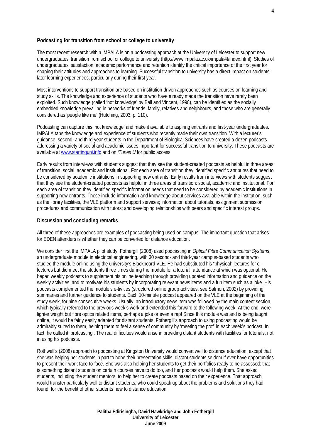#### **Podcasting for transition from school or college to university**

The most recent research within IMPALA is on a podcasting approach at the University of Leicester to support new undergraduates' transition from school or college to university (http://www.impala.ac.uk/impala4t/index.html). Studies of undergraduates' satisfaction, academic performance and retention identify the critical importance of the first year for shaping their attitudes and approaches to learning. Successful transition to university has a direct impact on students' later learning experiences, particularly during their first year.

Most interventions to support transition are based on institution-driven approaches such as courses on learning and study skills. The knowledge and experience of students who have already made the transition have rarely been exploited. Such knowledge (called 'hot knowledge' by Ball and Vincent, 1998), can be identified as the socially embedded knowledge prevailing in networks of friends, family, relatives and neighbours, and those who are generally considered as 'people like me' (Hutching, 2003, p. 110).

Podcasting can capture this 'hot knowledge' and make it available to aspiring entrants and first-year undergraduates. IMPALA taps the knowledge and experience of students who recently made their own transition. With a lecturer's guidance, second- and third-year students in the Department of Biological Sciences have created a dozen podcasts addressing a variety of social and academic issues important for successful transition to university. These podcasts are available at www.startinguni.info and on *iTunes U* for public access.

Early results from interviews with students suggest that they see the student-created podcasts as helpful in three areas of transition: social, academic and institutional. For each area of transition they identified specific attributes that need to be considered by academic institutions in supporting new entrants. Early results from interviews with students suggest that they see the student-created podcasts as helpful in three areas of transition: social, academic and institutional. For each area of transition they identified specific information needs that need to be considered by academic institutions in supporting new entrants. These include information and knowledge about services available within the institution, such as the library facilities, the VLE platform and support services; information about tutorials, assignment submission procedures and communication with tutors; and developing relationships with peers and specific interest groups.

#### **Discussion and concluding remarks**

All three of these approaches are examples of podcasting being used on campus. The important question that arises for EDEN attenders is whether they can be converted for distance education.

We consider first the IMPALA pilot study. Fothergill (2008) used podcasting in *Optical Fibre Communication Systems*, an undergraduate module in electrical engineering, with 30 second- and third-year campus-based students who studied the module online using the university's Blackboard VLE. He had substituted his "physical" lectures for electures but did meet the students three times during the module for a tutorial, attendance at which was optional. He began weekly podcasts to supplement his online teaching through providing updated information and guidance on the weekly activities, and to motivate his students by incorporating relevant news items and a fun item such as a joke. His podcasts complemented the module's e-tivities (structured online group activities, see Salmon, 2002) by providing summaries and further guidance to students. Each 10-minute podcast appeared on the VLE at the beginning of the study week, for nine consecutive weeks. Usually, an introductory news item was followed by the main content section, which typically referred to the previous week's work and extended this forward to the following week. At the end, were lighter weight but fibre optics related items, perhaps a joke or even a rap! Since this module was and is being taught online, it would be fairly easily adapted for distant students. Fothergill's approach to using podcasting would be admirably suited to them, helping them to feel a sense of community by 'meeting the prof' in each week's podcast. In fact, he called it 'profcasting'. The real difficulties would arise in providing distant students with facilities for tutorials, not in using his podcasts.

Rothwell's (2008) approach to podcasting at Kingston University would convert well to distance education, except that she was helping her students in part to hone their presentation skills: distant students seldom if ever have opportunities to present their work face-to-face. She was also helping her students to get their portfolios ready to be assessed: that is something distant students on certain courses have to do too, and her podcasts would help them. She asked students, including the student mentors, to help her to create podcasts based on their experience. That approach would transfer particularly well to distant students, who could speak up about the problems and solutions they had found, for the benefit of other students new to distance education.

> **Palitha Edirisingha, David Hawkridge and John Fothergill University of Leicester June 2009**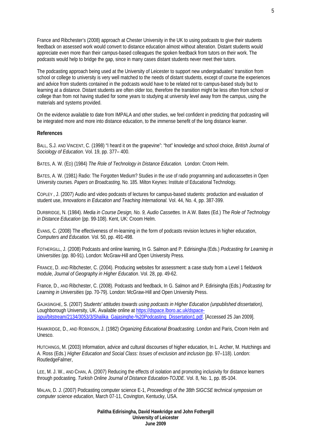France and Ribchester's (2008) approach at Chester University in the UK to using podcasts to give their students feedback on assessed work would convert to distance education almost without alteration. Distant students would appreciate even more than their campus-based colleagues the spoken feedback from tutors on their work. The podcasts would help to bridge the gap, since in many cases distant students never meet their tutors.

The podcasting approach being used at the University of Leicester to support new undergraduates' transition from school or college to university is very well matched to the needs of distant students, except of course the experiences and advice from students contained in the podcasts would have to be related not to campus-based study but to learning at a distance. Distant students are often older too, therefore the transition might be less often from school or college than from not having studied for some years to studying at university level away from the campus, using the materials and systems provided.

On the evidence available to date from IMPALA and other studies, we feel confident in predicting that podcasting will be integrated more and more into distance education, to the immense benefit of the long distance learner.

#### **References**

BALL, S.J. AND VINCENT, C. (1998) "I heard it on the grapevine": "hot" knowledge and school choice, *British Journal of Sociology of Education*. Vol. 19, pp. 377– 400.

BATES, A. W. (ED) (1984) *The Role of Technology in Distance Education.* London: Croom Helm.

BATES, A. W. (1981) Radio: The Forgotten Medium? Studies in the use of radio programming and audiocassettes in Open University courses. *Papers on Broadcasting,* No. 185. Milton Keynes: Institute of Educational Technology.

COPLEY , J. (2007) Audio and video podcasts of lectures for campus-based students: production and evaluation of student use, *Innovations in Education and Teaching International.* Vol. 44, No. 4, pp. 387-399.

DURBRIDGE, N. (1984). *Media in Course Design, No. 9, Audio Cassettes.* In A.W. Bates (Ed.) *The Role of Technology in Distance Education* (pp. 99-108). Kent, UK: Croom Helm.

EVANS, C. (2008) The effectiveness of m-learning in the form of podcasts revision lectures in higher education, *Computers and Education.* Vol*.* 50, pp. 491-498.

FOTHERGILL, J. (2008) Podcasts and online learning, In G. Salmon and P. Edirisingha (Eds.) *Podcasting for Learning in Universities* (pp. 80-91). London: McGraw-Hill and Open University Press.

FRANCE, D. AND Ribchester, C. (2004). Producing websites for assessment: a case study from a Level 1 fieldwork module, *Journal of Geography in Higher Education*. Vol. 28, pp. 49-62.

France, D., AND Ribchester, C. (2008). Podcasts and feedback, In G. Salmon and P. Edirisingha (Eds.) *Podcasting for Learning in Universities* (pp. 70-79). London: McGraw-Hill and Open University Press.

GAJASINGHE, S. (2007) *Students' attitudes towards using podcasts in Higher Education (unpublished dissertation),*  Loughborough University, UK. Available online at https://dspace.lboro.ac.uk/dspacejspui/bitstream/2134/3053/3/Shalika\_Gajasinghe-%20Podcasting\_Dissertation1.pdf. [Accessed 25 Jan 2009].

HAWKRIDGE, D., AND ROBINSON, J. (1982) *Organizing Educational Broadcasting*. London and Paris, Croom Helm and Unesco.

HUTCHINGS, M. (2003) Information, advice and cultural discourses of higher education, In L. Archer, M. Hutchings and A. Ross (Eds.) *Higher Education and Social Class: Issues of exclusion and inclusion (*pp. 97–118). London: RoutledgeFalmer,

LEE, M. J. W., AND CHAN, A. (2007) Reducing the effects of isolation and promoting inclusivity for distance learners through podcasting. *Turkish Online Journal of Distance Education-TOJDE*. Vol. 8, No. 1, pp. 85-104.

MALAN, D. J. (2007) Podcasting computer science E-1, *Proceedings of the 38th SIGCSE technical symposium on computer science education*, March 07-11, Covington, Kentucky, USA.

> **Palitha Edirisingha, David Hawkridge and John Fothergill University of Leicester June 2009**